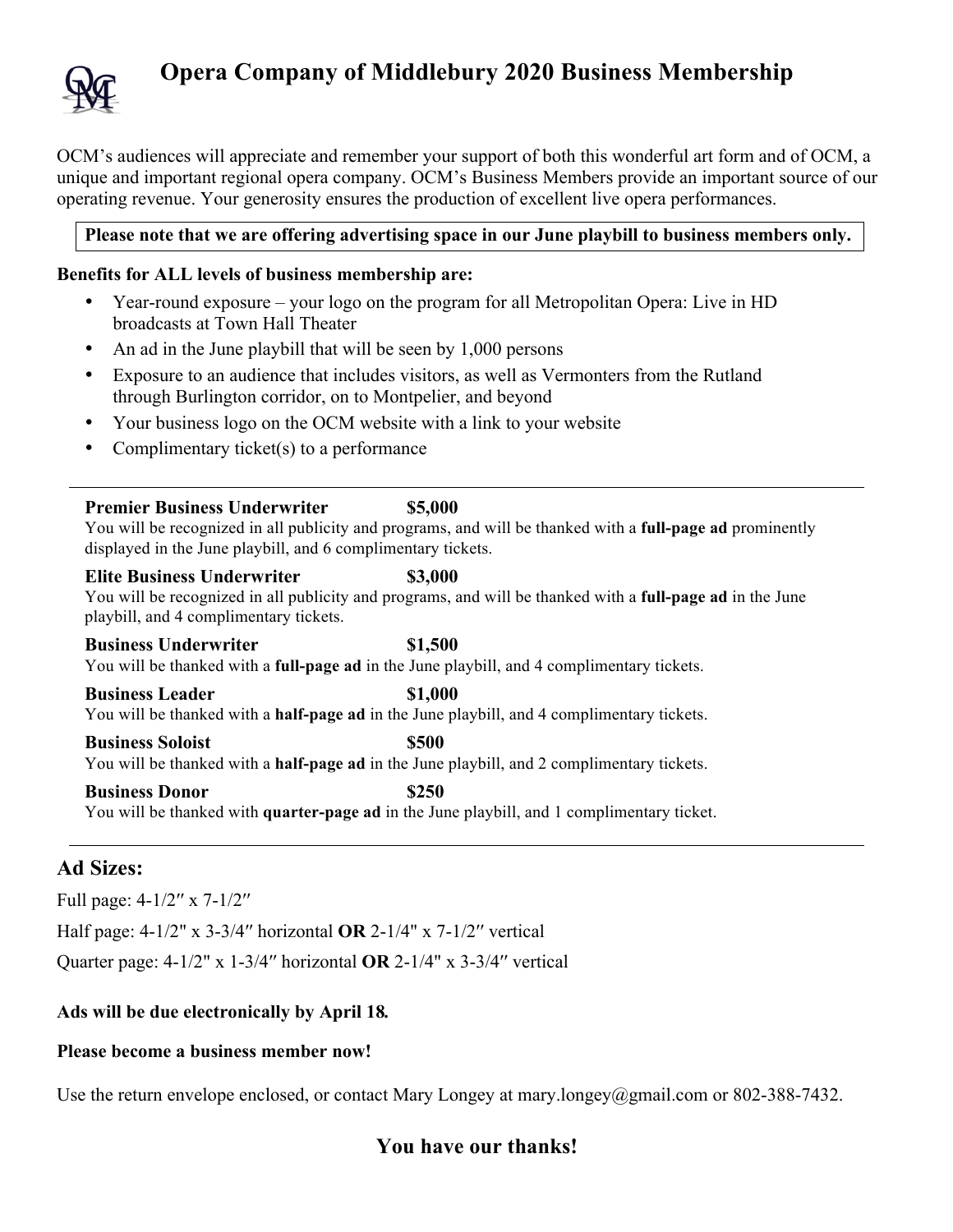

# **Opera Company of Middlebury 2020 Business Membership**

OCM's audiences will appreciate and remember your support of both this wonderful art form and of OCM, a unique and important regional opera company. OCM's Business Members provide an important source of our operating revenue. Your generosity ensures the production of excellent live opera performances.

### **Please note that we are offering advertising space in our June playbill to business members only.**

#### **Benefits for ALL levels of business membership are:**

- Year-round exposure your logo on the program for all Metropolitan Opera: Live in HD broadcasts at Town Hall Theater
- An ad in the June playbill that will be seen by 1,000 persons
- Exposure to an audience that includes visitors, as well as Vermonters from the Rutland through Burlington corridor, on to Montpelier, and beyond
- Your business logo on the OCM website with a link to your website
- Complimentary ticket(s) to a performance

#### **Premier Business Underwriter \$5,000**

You will be recognized in all publicity and programs, and will be thanked with a **full-page ad** prominently displayed in the June playbill, and 6 complimentary tickets.

#### **Elite Business Underwriter \$3,000**

You will be recognized in all publicity and programs, and will be thanked with a **full-page ad** in the June playbill, and 4 complimentary tickets.

#### **Business Underwriter \$1,500**

You will be thanked with a **full-page ad** in the June playbill, and 4 complimentary tickets.

**Business Leader \$1,000** You will be thanked with a **half-page ad** in the June playbill, and 4 complimentary tickets.

#### **Business Soloist \$500** You will be thanked with a **half-page ad** in the June playbill, and 2 complimentary tickets.

**Business Donor \$250** You will be thanked with **quarter-page ad** in the June playbill, and 1 complimentary ticket.

## **Ad Sizes:**

Full page: 4-1/2′′ x 7-1/2′′

Half page: 4-1/2" x 3-3/4′′ horizontal **OR** 2-1/4" x 7-1/2′′ vertical

Quarter page: 4-1/2" x 1-3/4′′ horizontal **OR** 2-1/4" x 3-3/4′′ vertical

### **Ads will be due electronically by April 18***.*

#### **Please become a business member now!**

Use the return envelope enclosed, or contact Mary Longey at mary.longey@gmail.com or 802-388-7432.

# **You have our thanks!**